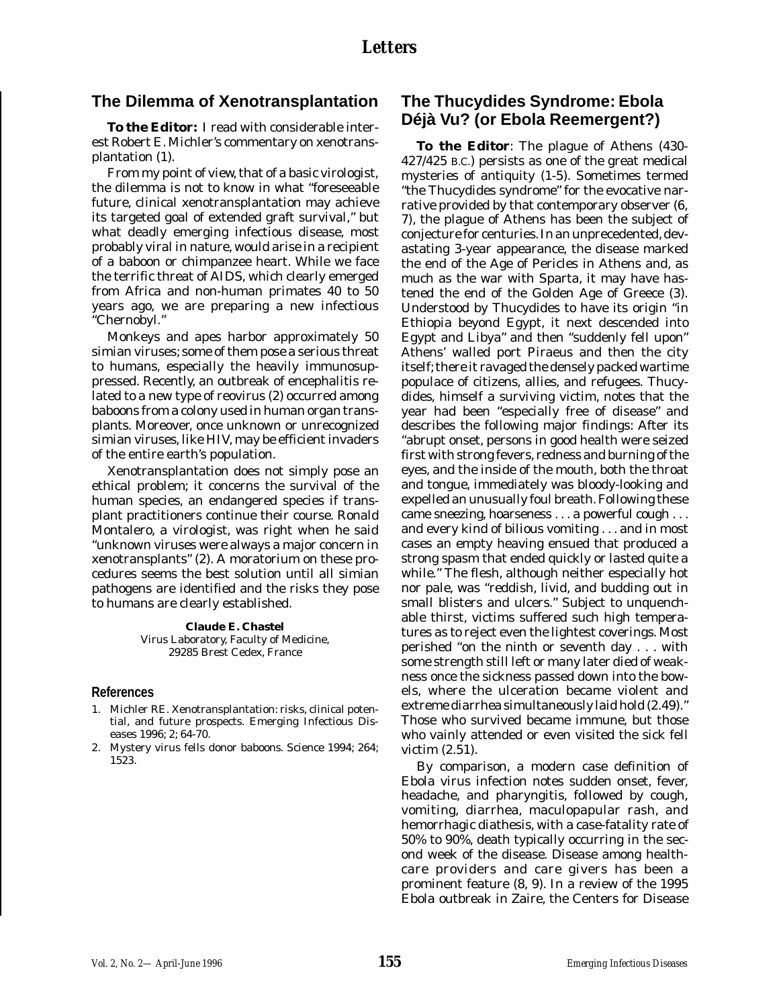## **The Dilemma of Xenotransplantation**

**To the Editor:** I read with considerable interest Robert E. Michler's commentary on xenotransplantation (1).

From my point of view, that of a basic virologist, the dilemma is not to know in what "foreseeable future, clinical xenotransplantation may achieve its targeted goal of extended graft survival," but what deadly emerging infectious disease, most probably viral in nature, would arise in a recipient of a baboon or chimpanzee heart. While we face the terrific threat of AIDS, which clearly emerged from Africa and non-human primates 40 to 50 years ago, we are preparing a new infectious "Chernobyl."

Monkeys and apes harbor approximately 50 simian viruses; some of them pose a serious threat to humans, especially the heavily immunosuppressed. Recently, an outbreak of encephalitis related to a new type of reovirus (2) occurred among baboons from a colony used in human organ transplants. Moreover, once unknown or unrecognized simian viruses, like HIV, may be efficient invaders of the entire earth's population.

Xenotransplantation does not simply pose an ethical problem; it concerns the survival of the human species, an endangered species if transplant practitioners continue their course. Ronald Montalero, a virologist, was right when he said "unknown viruses were always a major concern in xenotransplants" (2). A moratorium on these procedures seems the best solution until all simian pathogens are identified and the risks they pose to humans are clearly established.

> **Claude E. Chastel** Virus Laboratory, Faculty of Medicine, 29285 Brest Cedex, France

### **References**

- 1. Michler RE. Xenotransplantation: risks, clinical potential, and future prospects. Emerging Infectious Diseases 1996; 2; 64-70.
- 2. Mystery virus fells donor baboons. Science 1994; 264; 1523.

# **The Thucydides Syndrome: Ebola Déjà Vu? (or Ebola Reemergent?)**

**To the Editor**: The plague of Athens (430- 427/425 B.C.) persists as one of the great medical mysteries of antiquity (1-5). Sometimes termed "the Thucydides syndrome" for the evocative narrative provided by that contemporary observer (6, 7), the plague of Athens has been the subject of conjecture for centuries. In an unprecedented, devastating 3-year appearance, the disease marked the end of the Age of Pericles in Athens and, as much as the war with Sparta, it may have hastened the end of the Golden Age of Greece (3). Understood by Thucydides to have its origin "in Ethiopia beyond Egypt, it next descended into Egypt and Libya" and then "suddenly fell upon" Athens' walled port Piraeus and then the city itself; there it ravaged the densely packed wartime populace of citizens, allies, and refugees. Thucydides, himself a surviving victim, notes that the year had been "especially free of disease" and describes the following major findings: After its "abrupt onset, persons in good health were seized first with strong fevers, redness and burning of the eyes, and the inside of the mouth, both the throat and tongue, immediately was bloody-looking and expelled an unusually foul breath. Following these came sneezing, hoarseness . . . a powerful cough . . . and every kind of bilious vomiting . . . and in most cases an empty heaving ensued that produced a strong spasm that ended quickly or lasted quite a while." The flesh, although neither especially hot nor pale, was "reddish, livid, and budding out in small blisters and ulcers." Subject to unquenchable thirst, victims suffered such high temperatures as to reject even the lightest coverings. Most perished "on the ninth or seventh day . . . with some strength still left or many later died of weakness once the sickness passed down into the bowels, where the ulceration became violent and extreme diarrhea simultaneously laid hold (2.49)." Those who survived became immune, but those who vainly attended or even visited the sick fell victim (2.51).

By comparison, a modern case definition of Ebola virus infection notes sudden onset, fever, headache, and pharyngitis, followed by cough, vomiting, diarrhea, maculopapular rash, and hemorrhagic diathesis, with a case-fatality rate of 50% to 90%, death typically occurring in the second week of the disease. Disease among healthcare providers and care givers has been a prominent feature (8, 9). In a review of the 1995 Ebola outbreak in Zaire, the Centers for Disease